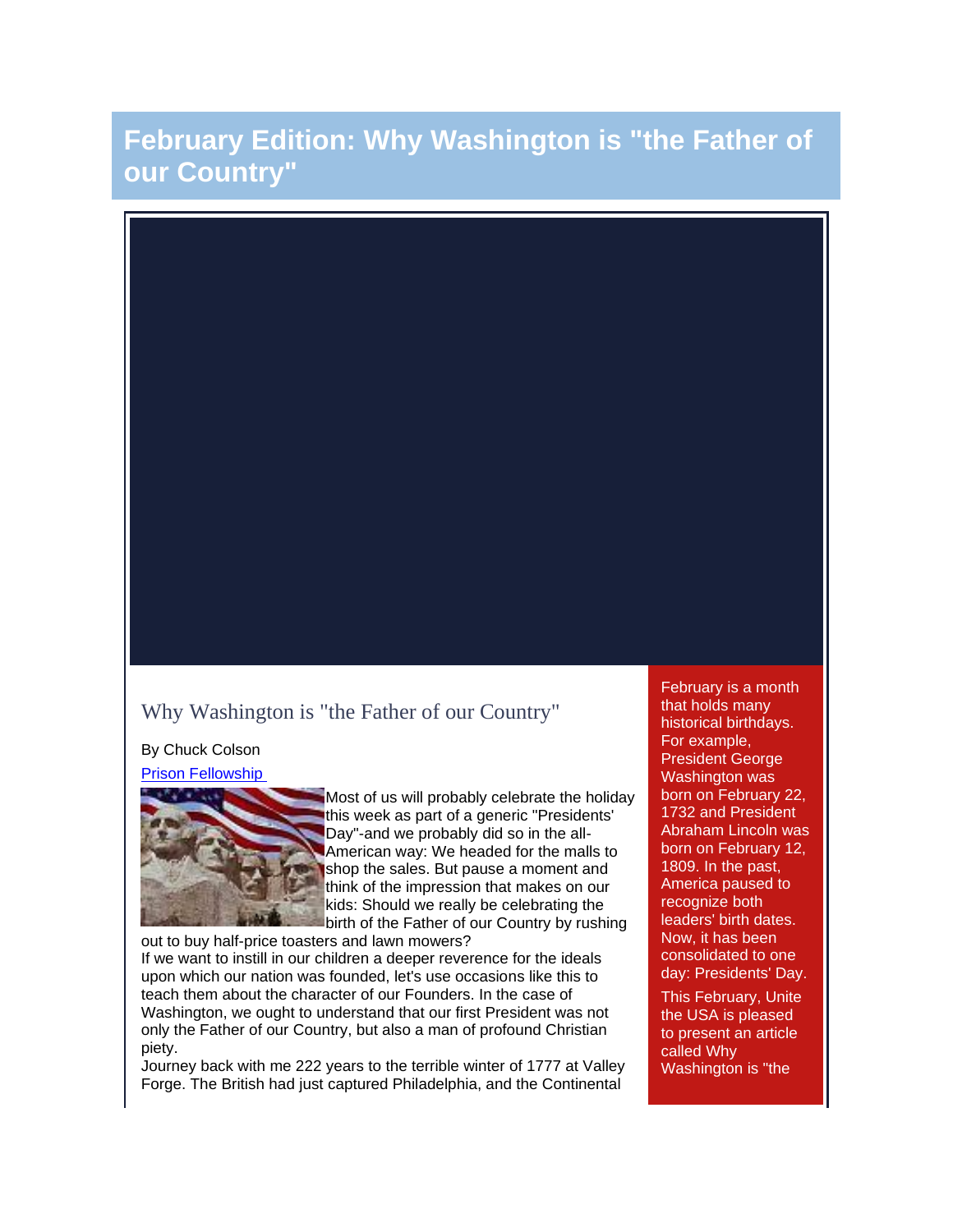# **February Edition: Why Washington is "the Father of our Country"**

## Why Washington is "the Father of our Country"

By Chuck Colson

[Prison Fellowship](http://rs6.net/tn.jsp?et=1102916538830&s=-1&e=001G4zQd0oFIuNC9b16cD8Cv_pwK_AU5GVoNzqm2ttcMpOAcu3LbKilG1yKsyTCR0oWh5j08Z_BKNv3hlFN_QTWT3_esWKShyXTJSthuxBH-Yg=)



Most of us will probably celebrate the holiday this week as part of a generic "Presidents' Day"-and we probably did so in the all-American way: We headed for the malls to shop the sales. But pause a moment and think of the impression that makes on our kids: Should we really be celebrating the birth of the Father of our Country by rushing

out to buy half-price toasters and lawn mowers?

If we want to instill in our children a deeper reverence for the ideals upon which our nation was founded, let's use occasions like this to teach them about the character of our Founders. In the case of Washington, we ought to understand that our first President was not only the Father of our Country, but also a man of profound Christian piety.

Journey back with me 222 years to the terrible winter of 1777 at Valley Forge. The British had just captured Philadelphia, and the Continental

February is a month that holds many historical birthdays. For example, President George Washington was born on February 22, 1732 and President Abraham Lincoln was born on February 12, 1809. In the past, America paused to recognize both leaders' birth dates. Now, it has been consolidated to one day: Presidents' Day. This February, Unite the USA is pleased to present an article called Why Washington is "the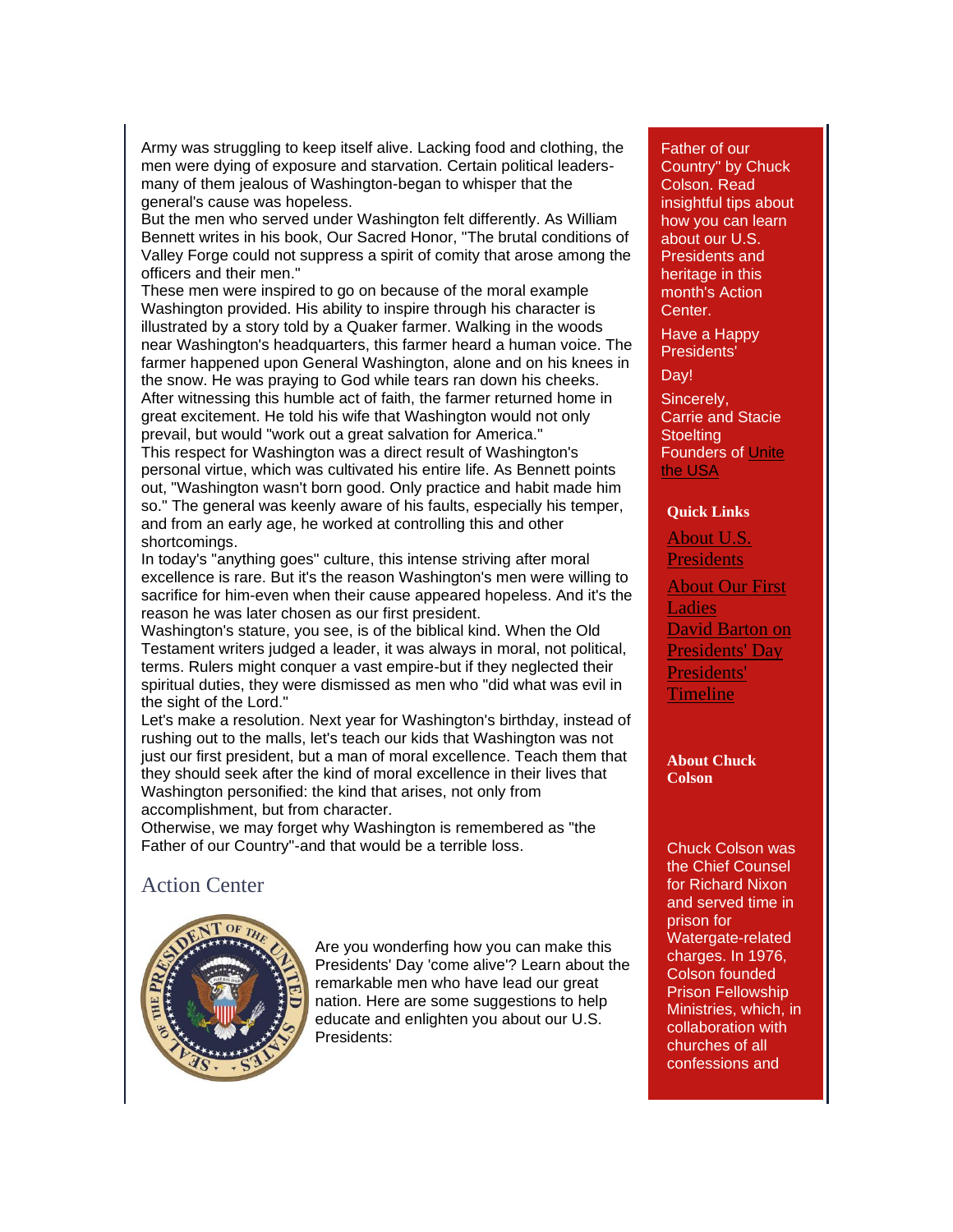Army was struggling to keep itself alive. Lacking food and clothing, the men were dying of exposure and starvation. Certain political leadersmany of them jealous of Washington-began to whisper that the general's cause was hopeless.

But the men who served under Washington felt differently. As William Bennett writes in his book, Our Sacred Honor, "The brutal conditions of Valley Forge could not suppress a spirit of comity that arose among the officers and their men."

These men were inspired to go on because of the moral example Washington provided. His ability to inspire through his character is illustrated by a story told by a Quaker farmer. Walking in the woods near Washington's headquarters, this farmer heard a human voice. The farmer happened upon General Washington, alone and on his knees in the snow. He was praying to God while tears ran down his cheeks. After witnessing this humble act of faith, the farmer returned home in great excitement. He told his wife that Washington would not only prevail, but would "work out a great salvation for America." This respect for Washington was a direct result of Washington's personal virtue, which was cultivated his entire life. As Bennett points out, "Washington wasn't born good. Only practice and habit made him so." The general was keenly aware of his faults, especially his temper, and from an early age, he worked at controlling this and other shortcomings.

In today's "anything goes" culture, this intense striving after moral excellence is rare. But it's the reason Washington's men were willing to sacrifice for him-even when their cause appeared hopeless. And it's the reason he was later chosen as our first president.

Washington's stature, you see, is of the biblical kind. When the Old Testament writers judged a leader, it was always in moral, not political, terms. Rulers might conquer a vast empire-but if they neglected their spiritual duties, they were dismissed as men who "did what was evil in the sight of the Lord."

Let's make a resolution. Next year for Washington's birthday, instead of rushing out to the malls, let's teach our kids that Washington was not just our first president, but a man of moral excellence. Teach them that they should seek after the kind of moral excellence in their lives that Washington personified: the kind that arises, not only from accomplishment, but from character.

Otherwise, we may forget why Washington is remembered as "the Father of our Country"-and that would be a terrible loss.

## Action Center



Are you wonderfing how you can make this Presidents' Day 'come alive'? Learn about the remarkable men who have lead our great nation. Here are some suggestions to help educate and enlighten you about our U.S. Presidents:

#### Father of our

Country" by Chuck Colson. Read insightful tips about how you can learn about our U.S. Presidents and heritage in this month's Action Center.

Have a Happy Presidents'

Day!

Sincerely, Carrie and Stacie **Stoelting** Founders of [Unite](http://www.unitetheusa.org/)  [the USA](http://www.unitetheusa.org/)

#### **Quick Links**

[About U.S.](http://www.whitehouse.gov/about/presidents/)  **[Presidents](http://www.whitehouse.gov/about/presidents/)** [About Our First](http://www.whitehouse.gov/about/first-ladies)  [Ladies](http://www.whitehouse.gov/about/first-ladies) [David Barton on](http://www.wallbuilders.com/LIBissuesArticles.asp?id=20987)  [Presidents' Day](http://www.wallbuilders.com/LIBissuesArticles.asp?id=20987) [Presidents'](http://www.history.com/presidents)  **[Timeline](http://www.history.com/presidents)** 

**About Chuck Colson**

Chuck Colson was the Chief Counsel for Richard Nixon and served time in prison for Watergate-related charges. In 1976, Colson founded Prison Fellowship Ministries, which, in collaboration with churches of all confessions and